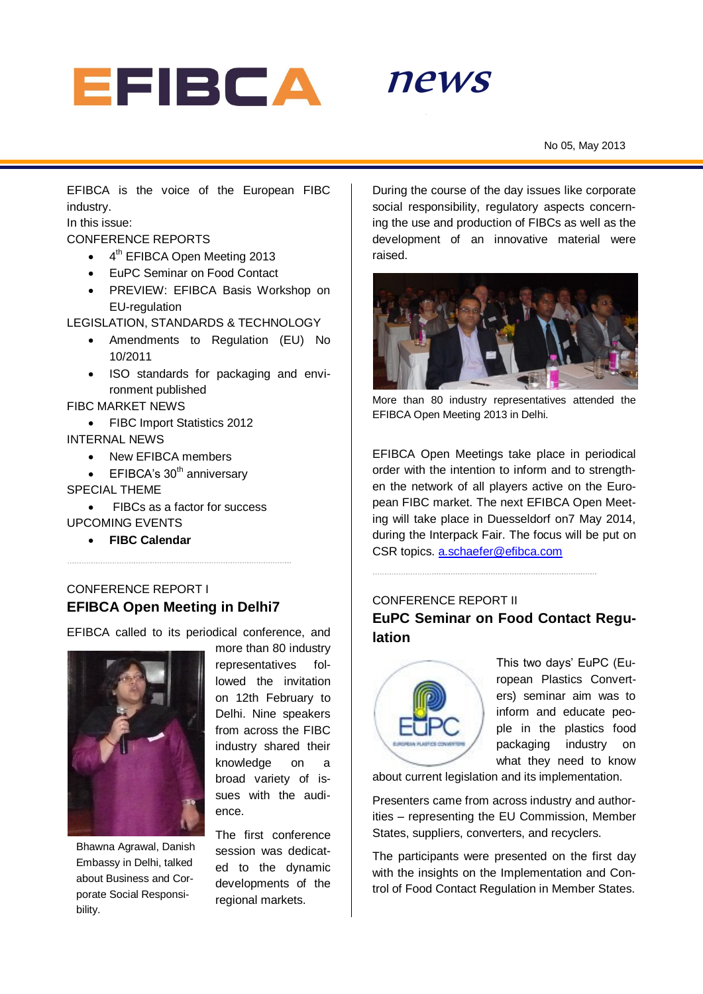



EFIBCA is the voice of the European FIBC industry.

In this issue:

CONFERENCE REPORTS

- 4<sup>th</sup> EFIBCA Open Meeting 2013
- EuPC Seminar on Food Contact
- PREVIEW: EFIBCA Basis Workshop on EU-regulation

LEGISLATION, STANDARDS & TECHNOLOGY

- Amendments to Regulation (EU) No 10/2011
- ISO standards for packaging and environment published

FIBC MARKET NEWS

- FIBC Import Statistics 2012 INTERNAL NEWS
	- New EFIBCA members
	- $\bullet$  EFIBCA's 30<sup>th</sup> anniversary

#### SPECIAL THEME

- FIBCs as a factor for success UPCOMING EVENTS
	- **FIBC Calendar**

## CONFERENCE REPORT I **EFIBCA Open Meeting in Delhi7**

EFIBCA called to its periodical conference, and



Bhawna Agrawal, Danish Embassy in Delhi, talked about Business and Corporate Social Responsibility.

more than 80 industry representatives followed the invitation on 12th February to Delhi. Nine speakers from across the FIBC industry shared their knowledge on a broad variety of issues with the audience.

The first conference session was dedicated to the dynamic developments of the regional markets.

During the course of the day issues like corporate social responsibility, regulatory aspects concerning the use and production of FIBCs as well as the development of an innovative material were raised.



More than 80 industry representatives attended the EFIBCA Open Meeting 2013 in Delhi.

EFIBCA Open Meetings take place in periodical order with the intention to inform and to strengthen the network of all players active on the European FIBC market. The next EFIBCA Open Meeting will take place in Duesseldorf on7 May 2014, during the Interpack Fair. The focus will be put on CSR topics. [a.schaefer@efibca.com](mailto:a.schaefer@efibca.com)

CONFERENCE REPORT II **EuPC Seminar on Food Contact Regulation**



This two days' EuPC (European Plastics Converters) seminar aim was to inform and educate people in the plastics food packaging industry on what they need to know

about current legislation and its implementation.

Presenters came from across industry and authorities – representing the EU Commission, Member States, suppliers, converters, and recyclers.

The participants were presented on the first day with the insights on the Implementation and Control of Food Contact Regulation in Member States.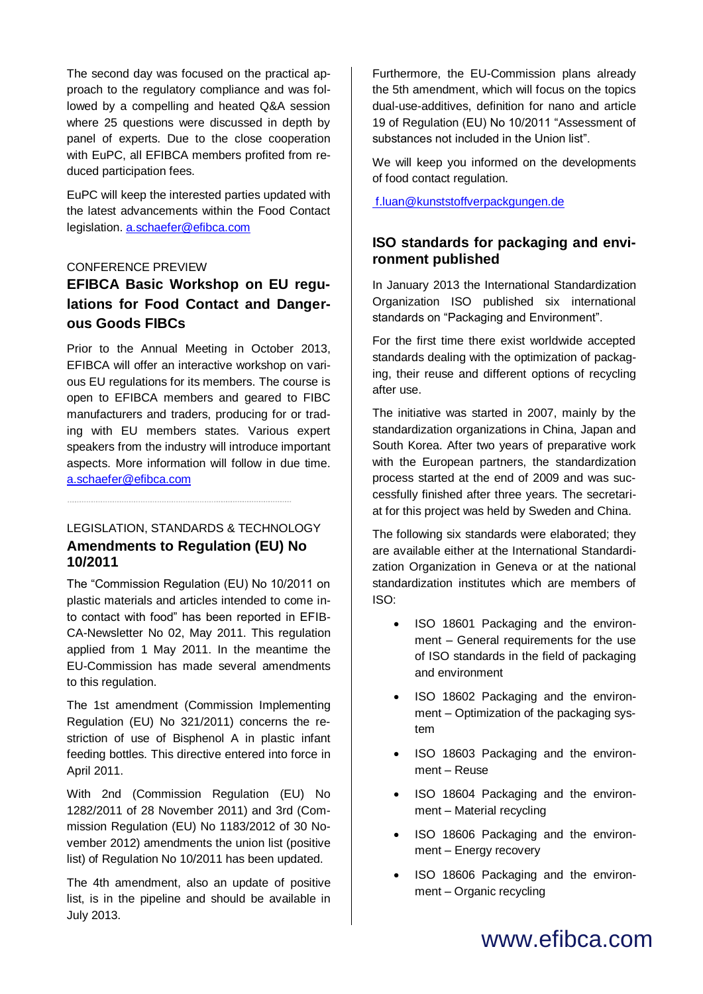The second day was focused on the practical approach to the regulatory compliance and was followed by a compelling and heated Q&A session where 25 questions were discussed in depth by panel of experts. Due to the close cooperation with EuPC, all EFIBCA members profited from reduced participation fees.

EuPC will keep the interested parties updated with the latest advancements within the Food Contact legislation[. a.schaefer@efibca.com](mailto:a.schaefer@efibca.com)

#### CONFERENCE PREVIEW

## **EFIBCA Basic Workshop on EU regulations for Food Contact and Dangerous Goods FIBCs**

Prior to the Annual Meeting in October 2013, EFIBCA will offer an interactive workshop on various EU regulations for its members. The course is open to EFIBCA members and geared to FIBC manufacturers and traders, producing for or trading with EU members states. Various expert speakers from the industry will introduce important aspects. More information will follow in due time. [a.schaefer@efibca.com](mailto:a.schaefer@efibca.com)

## LEGISLATION, STANDARDS & TECHNOLOGY **Amendments to Regulation (EU) No 10/2011**

The "Commission Regulation (EU) No 10/2011 on plastic materials and articles intended to come into contact with food" has been reported in EFIB-CA-Newsletter No 02, May 2011. This regulation applied from 1 May 2011. In the meantime the EU-Commission has made several amendments to this regulation.

The 1st amendment (Commission Implementing Regulation (EU) No 321/2011) concerns the restriction of use of Bisphenol A in plastic infant feeding bottles. This directive entered into force in April 2011.

With 2nd (Commission Regulation (EU) No 1282/2011 of 28 November 2011) and 3rd (Commission Regulation (EU) No 1183/2012 of 30 November 2012) amendments the union list (positive list) of Regulation No 10/2011 has been updated.

The 4th amendment, also an update of positive list, is in the pipeline and should be available in July 2013.

Furthermore, the EU-Commission plans already the 5th amendment, which will focus on the topics dual-use-additives, definition for nano and article 19 of Regulation (EU) No 10/2011 "Assessment of substances not included in the Union list".

We will keep you informed on the developments of food contact regulation.

[f.luan@kunststoffverpackgungen.de](mailto:F.luan@kunststoffverpackgungen.de)

## **ISO standards for packaging and environment published**

In January 2013 the International Standardization Organization ISO published six international standards on "Packaging and Environment".

For the first time there exist worldwide accepted standards dealing with the optimization of packaging, their reuse and different options of recycling after use.

The initiative was started in 2007, mainly by the standardization organizations in China, Japan and South Korea. After two years of preparative work with the European partners, the standardization process started at the end of 2009 and was successfully finished after three years. The secretariat for this project was held by Sweden and China.

The following six standards were elaborated; they are available either at the International Standardization Organization in Geneva or at the national standardization institutes which are members of ISO:

- ISO 18601 Packaging and the environment – General requirements for the use of ISO standards in the field of packaging and environment
- ISO 18602 Packaging and the environment – Optimization of the packaging system
- ISO 18603 Packaging and the environment – Reuse
- ISO 18604 Packaging and the environment – Material recycling
- ISO 18606 Packaging and the environment – Energy recovery
- ISO 18606 Packaging and the environment – Organic recycling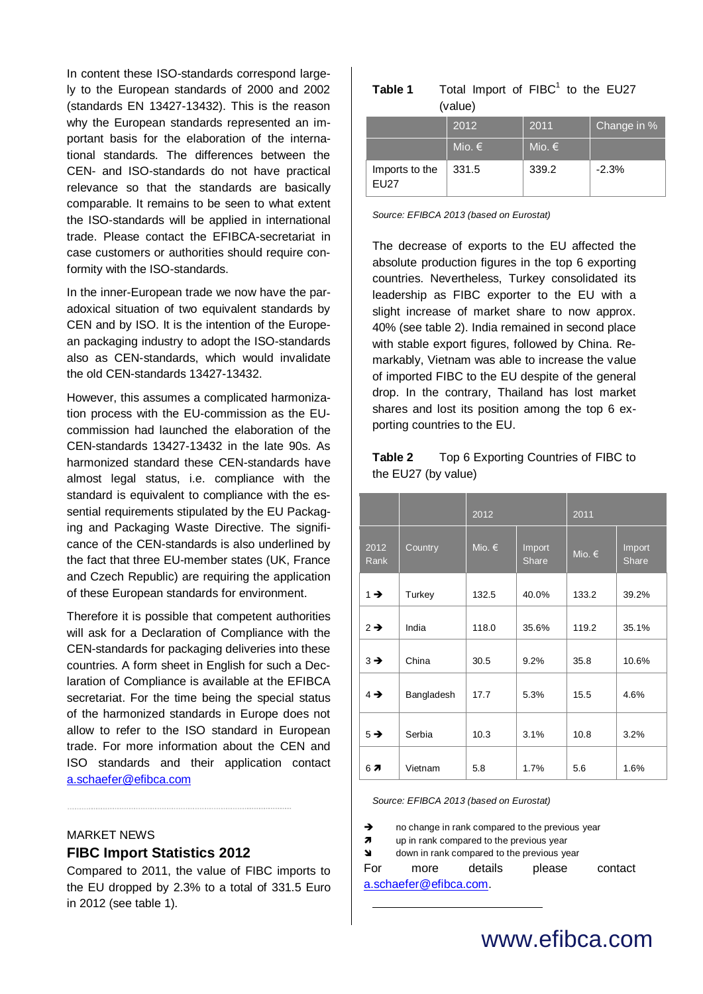In content these ISO-standards correspond largely to the European standards of 2000 and 2002 (standards EN 13427-13432). This is the reason why the European standards represented an important basis for the elaboration of the international standards. The differences between the CEN- and ISO-standards do not have practical relevance so that the standards are basically comparable. It remains to be seen to what extent the ISO-standards will be applied in international trade. Please contact the EFIBCA-secretariat in case customers or authorities should require conformity with the ISO-standards.

In the inner-European trade we now have the paradoxical situation of two equivalent standards by CEN and by ISO. It is the intention of the European packaging industry to adopt the ISO-standards also as CEN-standards, which would invalidate the old CEN-standards 13427-13432.

However, this assumes a complicated harmonization process with the EU-commission as the EUcommission had launched the elaboration of the CEN-standards 13427-13432 in the late 90s. As harmonized standard these CEN-standards have almost legal status, i.e. compliance with the standard is equivalent to compliance with the essential requirements stipulated by the EU Packaging and Packaging Waste Directive. The significance of the CEN-standards is also underlined by the fact that three EU-member states (UK, France and Czech Republic) are requiring the application of these European standards for environment.

Therefore it is possible that competent authorities will ask for a Declaration of Compliance with the CEN-standards for packaging deliveries into these countries. A form sheet in English for such a Declaration of Compliance is available at the EFIBCA secretariat. For the time being the special status of the harmonized standards in Europe does not allow to refer to the ISO standard in European trade. For more information about the CEN and ISO standards and their application contact [a.schaefer@efibca.com](mailto:a.schaefer@efibca.com)

#### MARKET NEWS

#### **FIBC Import Statistics 2012**

Compared to 2011, the value of FIBC imports to the EU dropped by 2.3% to a total of 331.5 Euro in 2012 (see table 1).

| Table 1 |         | Total Import of FIBC <sup>1</sup> to the EU27 |  |  |  |
|---------|---------|-----------------------------------------------|--|--|--|
|         | (value) |                                               |  |  |  |

|                               | 2012   | 2011            | Change in % |  |
|-------------------------------|--------|-----------------|-------------|--|
|                               | Mio. € | Mio. $\epsilon$ |             |  |
| Imports to the<br><b>EU27</b> | 331.5  | 339.2           | $-2.3%$     |  |

*Source: EFIBCA 2013 (based on Eurostat)*

The decrease of exports to the EU affected the absolute production figures in the top 6 exporting countries. Nevertheless, Turkey consolidated its leadership as FIBC exporter to the EU with a slight increase of market share to now approx. 40% (see table 2). India remained in second place with stable export figures, followed by China. Remarkably, Vietnam was able to increase the value of imported FIBC to the EU despite of the general drop. In the contrary, Thailand has lost market shares and lost its position among the top 6 exporting countries to the EU.

**Table 2** Top 6 Exporting Countries of FIBC to the EU27 (by value)

|                 |            | 2012   |                 | 2011            |                        |
|-----------------|------------|--------|-----------------|-----------------|------------------------|
| 2012<br>Rank    | Country    | Mio. € | Import<br>Share | Mio. $\epsilon$ | Import<br><b>Share</b> |
| $1 \rightarrow$ | Turkey     | 132.5  | 40.0%           | 133.2           | 39.2%                  |
| $2 \rightarrow$ | India      | 118.0  | 35.6%           | 119.2           | 35.1%                  |
| $3 \rightarrow$ | China      | 30.5   | 9.2%            | 35.8            | 10.6%                  |
| $4 \rightarrow$ | Bangladesh | 17.7   | 5.3%            | 15.5            | 4.6%                   |
| $5 \rightarrow$ | Serbia     | 10.3   | 3.1%            | 10.8            | 3.2%                   |
| 67              | Vietnam    | 5.8    | 1.7%            | 5.6             | 1.6%                   |

*Source: EFIBCA 2013 (based on Eurostat)*

A no change in rank compared to the previous year

**7** up in rank compared to the previous year

 $\triangleleft$  down in rank compared to the previous year

1

For more details please contact [a.schaefer@efibca.com.](mailto:a.schaefer@efibca.com)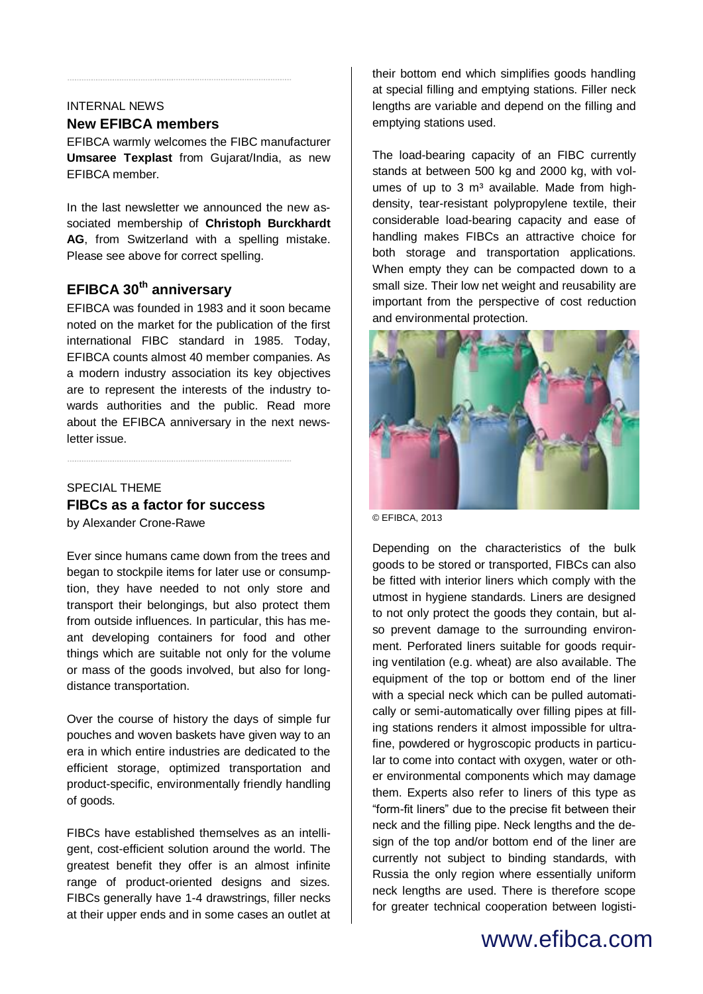## INTERNAL NEWS

## **New EFIBCA members**

EFIBCA warmly welcomes the FIBC manufacturer **Umsaree Texplast** from Gujarat/India, as new EFIBCA member.

In the last newsletter we announced the new associated membership of **Christoph Burckhardt AG**, from Switzerland with a spelling mistake. Please see above for correct spelling.

## **EFIBCA 30th anniversary**

EFIBCA was founded in 1983 and it soon became noted on the market for the publication of the first international FIBC standard in 1985. Today, EFIBCA counts almost 40 member companies. As a modern industry association its key objectives are to represent the interests of the industry towards authorities and the public. Read more about the EFIBCA anniversary in the next newsletter issue.

## SPECIAL THEME **FIBCs as a factor for success**

by Alexander Crone-Rawe

Ever since humans came down from the trees and began to stockpile items for later use or consumption, they have needed to not only store and transport their belongings, but also protect them from outside influences. In particular, this has meant developing containers for food and other things which are suitable not only for the volume or mass of the goods involved, but also for longdistance transportation.

Over the course of history the days of simple fur pouches and woven baskets have given way to an era in which entire industries are dedicated to the efficient storage, optimized transportation and product-specific, environmentally friendly handling of goods.

FIBCs have established themselves as an intelligent, cost-efficient solution around the world. The greatest benefit they offer is an almost infinite range of product-oriented designs and sizes. FIBCs generally have 1-4 drawstrings, filler necks at their upper ends and in some cases an outlet at their bottom end which simplifies goods handling at special filling and emptying stations. Filler neck lengths are variable and depend on the filling and emptying stations used.

The load-bearing capacity of an FIBC currently stands at between 500 kg and 2000 kg, with volumes of up to  $3 \text{ m}^3$  available. Made from highdensity, tear-resistant polypropylene textile, their considerable load-bearing capacity and ease of handling makes FIBCs an attractive choice for both storage and transportation applications. When empty they can be compacted down to a small size. Their low net weight and reusability are important from the perspective of cost reduction and environmental protection.



© EFIBCA, 2013

Depending on the characteristics of the bulk goods to be stored or transported, FIBCs can also be fitted with interior liners which comply with the utmost in hygiene standards. Liners are designed to not only protect the goods they contain, but also prevent damage to the surrounding environment. Perforated liners suitable for goods requiring ventilation (e.g. wheat) are also available. The equipment of the top or bottom end of the liner with a special neck which can be pulled automatically or semi-automatically over filling pipes at filling stations renders it almost impossible for ultrafine, powdered or hygroscopic products in particular to come into contact with oxygen, water or other environmental components which may damage them. Experts also refer to liners of this type as "form-fit liners" due to the precise fit between their neck and the filling pipe. Neck lengths and the design of the top and/or bottom end of the liner are currently not subject to binding standards, with Russia the only region where essentially uniform neck lengths are used. There is therefore scope for greater technical cooperation between logisti-

# www.efibca.com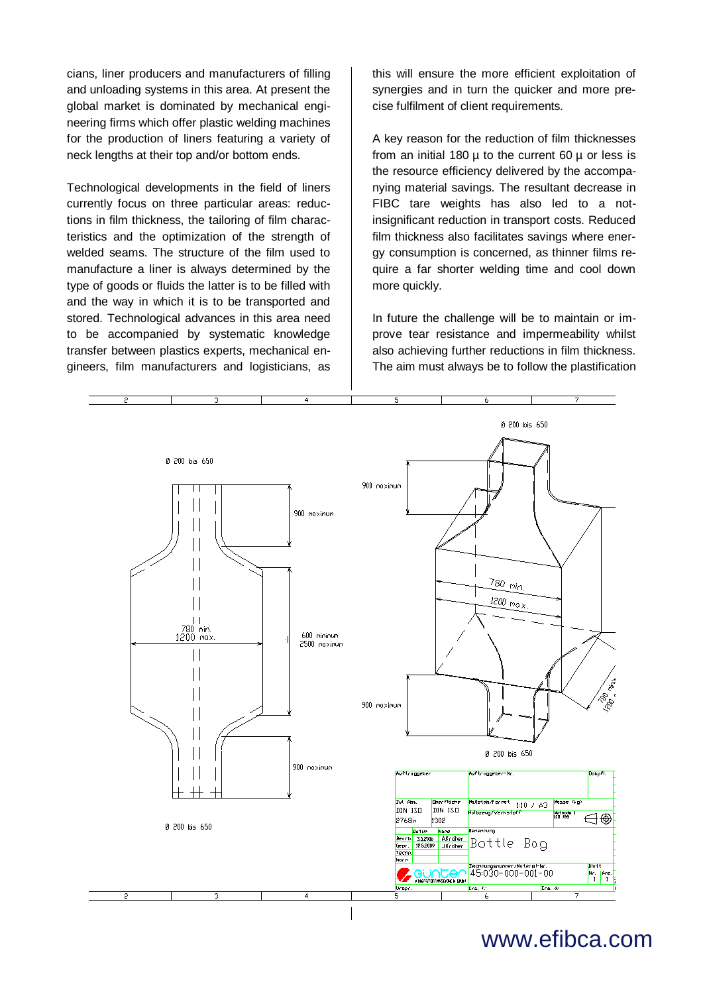cians, liner producers and manufacturers of filling and unloading systems in this area. At present the global market is dominated by mechanical engineering firms which offer plastic welding machines for the production of liners featuring a variety of neck lengths at their top and/or bottom ends.

Technological developments in the field of liners currently focus on three particular areas: reductions in film thickness, the tailoring of film characteristics and the optimization of the strength of welded seams. The structure of the film used to manufacture a liner is always determined by the type of goods or fluids the latter is to be filled with and the way in which it is to be transported and stored. Technological advances in this area need to be accompanied by systematic knowledge transfer between plastics experts, mechanical engineers, film manufacturers and logisticians, as

this will ensure the more efficient exploitation of synergies and in turn the quicker and more precise fulfilment of client requirements.

A key reason for the reduction of film thicknesses from an initial 180  $\mu$  to the current 60  $\mu$  or less is the resource efficiency delivered by the accompanying material savings. The resultant decrease in FIBC tare weights has also led to a notinsignificant reduction in transport costs. Reduced film thickness also facilitates savings where energy consumption is concerned, as thinner films require a far shorter welding time and cool down more quickly.

In future the challenge will be to maintain or improve tear resistance and impermeability whilst also achieving further reductions in film thickness. The aim must always be to follow the plastification



www.efibca.com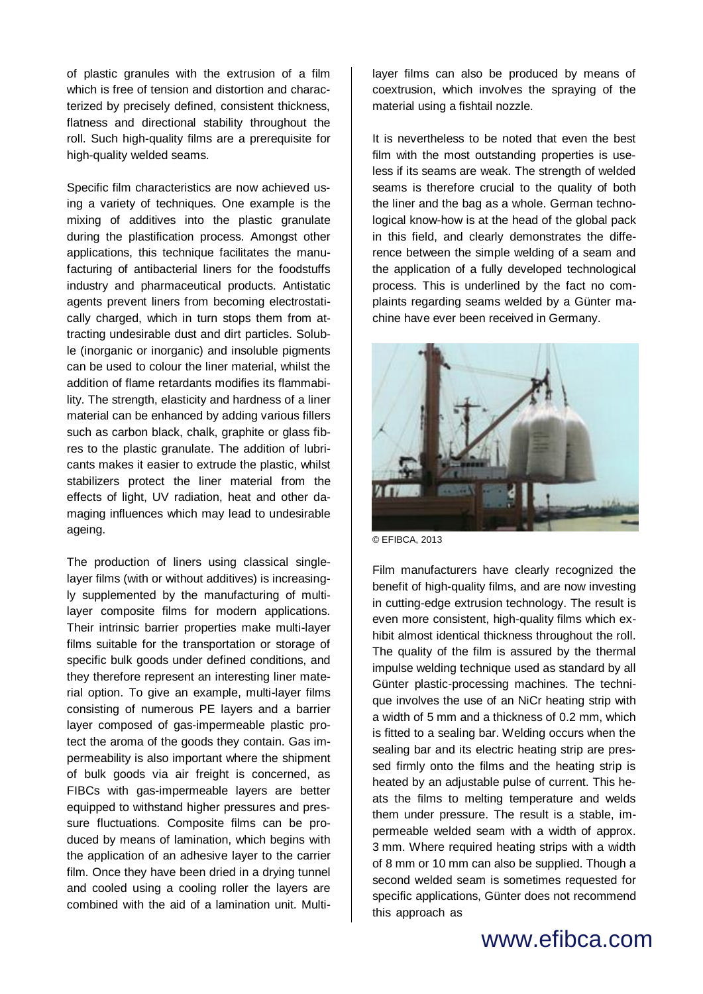of plastic granules with the extrusion of a film which is free of tension and distortion and characterized by precisely defined, consistent thickness, flatness and directional stability throughout the roll. Such high-quality films are a prerequisite for high-quality welded seams.

Specific film characteristics are now achieved using a variety of techniques. One example is the mixing of additives into the plastic granulate during the plastification process. Amongst other applications, this technique facilitates the manufacturing of antibacterial liners for the foodstuffs industry and pharmaceutical products. Antistatic agents prevent liners from becoming electrostatically charged, which in turn stops them from attracting undesirable dust and dirt particles. Soluble (inorganic or inorganic) and insoluble pigments can be used to colour the liner material, whilst the addition of flame retardants modifies its flammability. The strength, elasticity and hardness of a liner material can be enhanced by adding various fillers such as carbon black, chalk, graphite or glass fibres to the plastic granulate. The addition of lubricants makes it easier to extrude the plastic, whilst stabilizers protect the liner material from the effects of light, UV radiation, heat and other damaging influences which may lead to undesirable ageing.

The production of liners using classical singlelayer films (with or without additives) is increasingly supplemented by the manufacturing of multilayer composite films for modern applications. Their intrinsic barrier properties make multi-layer films suitable for the transportation or storage of specific bulk goods under defined conditions, and they therefore represent an interesting liner material option. To give an example, multi-layer films consisting of numerous PE layers and a barrier layer composed of gas-impermeable plastic protect the aroma of the goods they contain. Gas impermeability is also important where the shipment of bulk goods via air freight is concerned, as FIBCs with gas-impermeable layers are better equipped to withstand higher pressures and pressure fluctuations. Composite films can be produced by means of lamination, which begins with the application of an adhesive layer to the carrier film. Once they have been dried in a drying tunnel and cooled using a cooling roller the layers are combined with the aid of a lamination unit. Multilayer films can also be produced by means of coextrusion, which involves the spraying of the material using a fishtail nozzle.

It is nevertheless to be noted that even the best film with the most outstanding properties is useless if its seams are weak. The strength of welded seams is therefore crucial to the quality of both the liner and the bag as a whole. German technological know-how is at the head of the global pack in this field, and clearly demonstrates the difference between the simple welding of a seam and the application of a fully developed technological process. This is underlined by the fact no complaints regarding seams welded by a Günter machine have ever been received in Germany.



© EFIBCA, 2013

Film manufacturers have clearly recognized the benefit of high-quality films, and are now investing in cutting-edge extrusion technology. The result is even more consistent, high-quality films which exhibit almost identical thickness throughout the roll. The quality of the film is assured by the thermal impulse welding technique used as standard by all Günter plastic-processing machines. The technique involves the use of an NiCr heating strip with a width of 5 mm and a thickness of 0.2 mm, which is fitted to a sealing bar. Welding occurs when the sealing bar and its electric heating strip are pressed firmly onto the films and the heating strip is heated by an adjustable pulse of current. This heats the films to melting temperature and welds them under pressure. The result is a stable, impermeable welded seam with a width of approx. 3 mm. Where required heating strips with a width of 8 mm or 10 mm can also be supplied. Though a second welded seam is sometimes requested for specific applications, Günter does not recommend this approach as

## www.efibca.com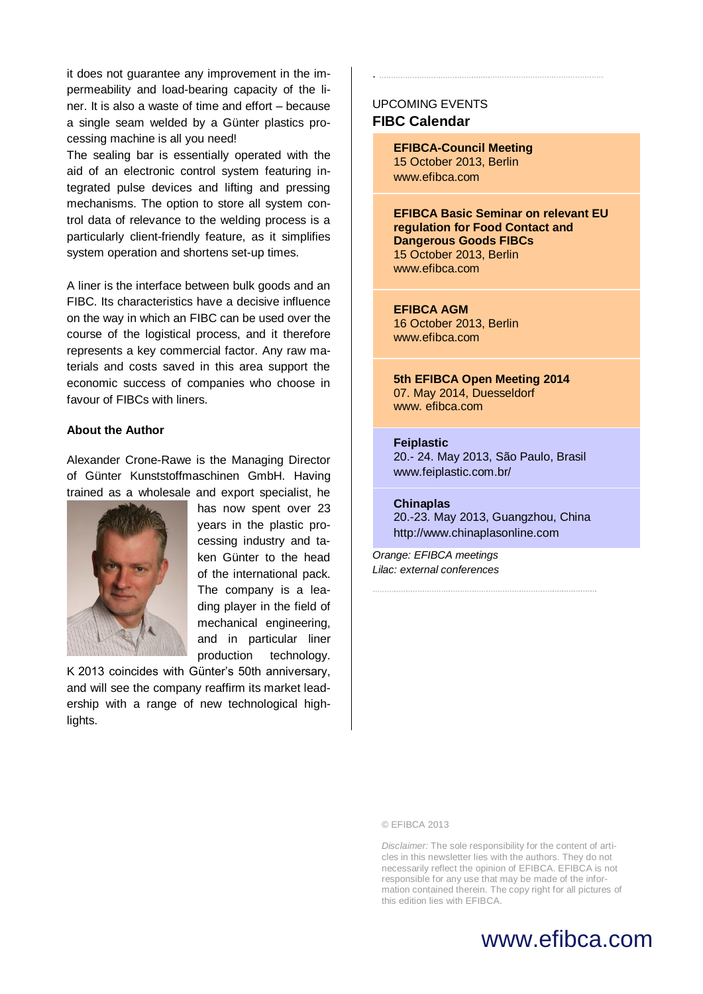it does not guarantee any improvement in the impermeability and load-bearing capacity of the liner. It is also a waste of time and effort – because a single seam welded by a Günter plastics processing machine is all you need!

The sealing bar is essentially operated with the aid of an electronic control system featuring integrated pulse devices and lifting and pressing mechanisms. The option to store all system control data of relevance to the welding process is a particularly client-friendly feature, as it simplifies system operation and shortens set-up times.

A liner is the interface between bulk goods and an FIBC. Its characteristics have a decisive influence on the way in which an FIBC can be used over the course of the logistical process, and it therefore represents a key commercial factor. Any raw materials and costs saved in this area support the economic success of companies who choose in favour of FIBCs with liners.

#### **About the Author**

Alexander Crone-Rawe is the Managing Director of Günter Kunststoffmaschinen GmbH. Having trained as a wholesale and export specialist, he



has now spent over 23 years in the plastic processing industry and taken Günter to the head of the international pack. The company is a leading player in the field of mechanical engineering, and in particular liner production technology.

K 2013 coincides with Günter's 50th anniversary, and will see the company reaffirm its market leadership with a range of new technological highlights.

### UPCOMING EVENTS **FIBC Calendar**

.

**EFIBCA-Council Meeting** 15 October 2013, Berlin www.efibca.com

**EFIBCA Basic Seminar on relevant EU regulation for Food Contact and Dangerous Goods FIBCs** 15 October 2013, Berlin [www.efibca.com](http://www.efibca.com/)

## **EFIBCA AGM**

16 October 2013, Berlin [www.efibca.com](http://www.efibca.com/)

**5th EFIBCA Open Meeting 2014** 07. May 2014, Duesseldorf www. efibca.com

#### **Feiplastic**

20.- 24. May 2013, São Paulo, Brasil www.feiplastic.com.br/

#### **Chinaplas**

20.-23. May 2013, Guangzhou, China http://www.chinaplasonline.com

*Orange: EFIBCA meetings Lilac: external conferences*

© EFIBCA 2013

*Disclaimer:* The sole responsibility for the content of articles in this newsletter lies with the authors. They do not necessarily reflect the opinion of EFIBCA. EFIBCA is not responsible for any use that may be made of the information contained therein. The copy right for all pictures of this edition lies with EFIBCA.